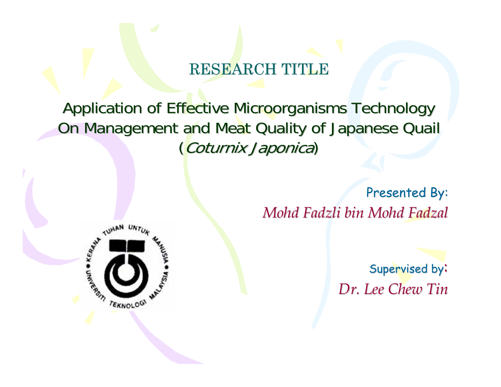#### RESEARCH TITLE

Application of Effective Microorganisms Technology On Management and Meat Quality of Japanese Quail (Coturnix Japonica)

> Presented By: *Mohd Fadzli bin Mohd Fadzal Mohd Fadzli bin Mohd Fadzal*



Supervised by: *Dr. Lee Chew Tin Dr. Lee Chew Tin*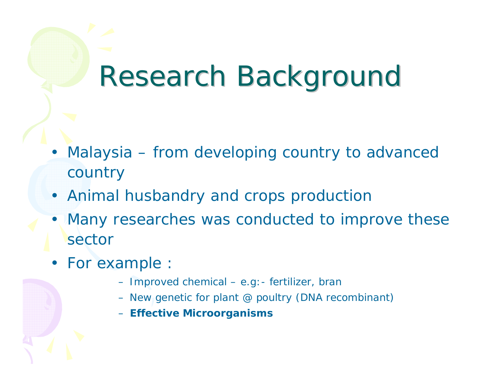# Research Background

- Malaysia from developing country to advanced country
- Animal husbandry and crops production
- $\bullet$ Many researches was conducted to improve these sector
- For example
	- Im proved chemical e.g:- fertilizer, bran
	- New genetic for plant @ poultry (DNA recombinant)
	- **Effective Microor g anisms**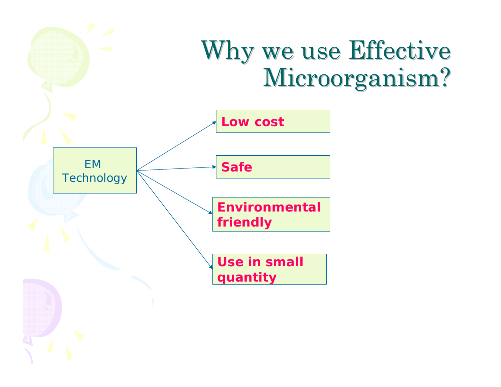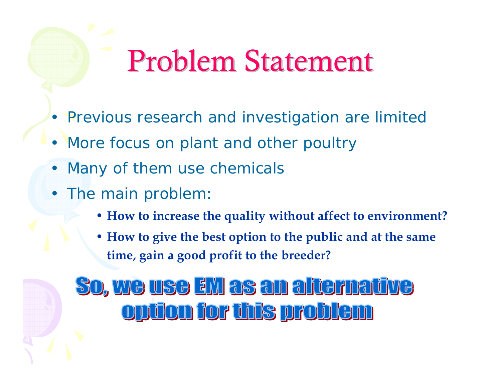# Problem Statement

- Previous research and investigation are limited
- More focus on plant and other poultry
- •Many of them use chemicals
- The main problem
	- **How to increase the quality without affect to environment?**
	- **How to give the best option to the public and at the same time, gain a good profit to the breeder?**

### <u>So, we use zw as an alternative</u> opüon for this problem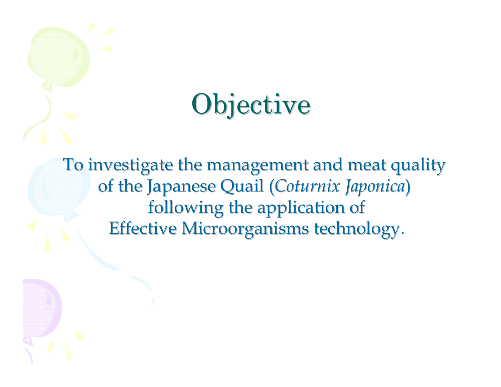# **Objective**

To investigate the management and meat quality of the Japanese Quail (Coturnix Japonica) following the application of Effective Microorganisms technology. Effective Microorganisms technology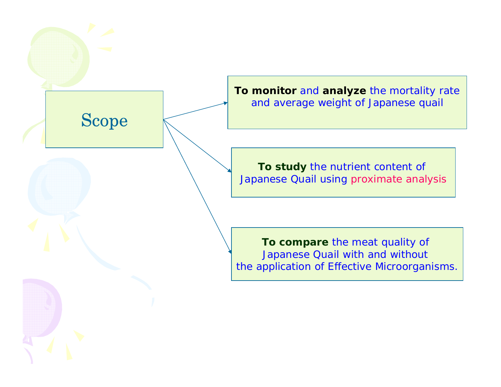Scope

**To monitor** and **analyze** the mortality rate and average weight of Japanese quail

**To study** the nutrient content of Japanese Quail using proximate analysis

**To compare** the meat quality of Japanese Quail with and without the application of Effective Microorganisms.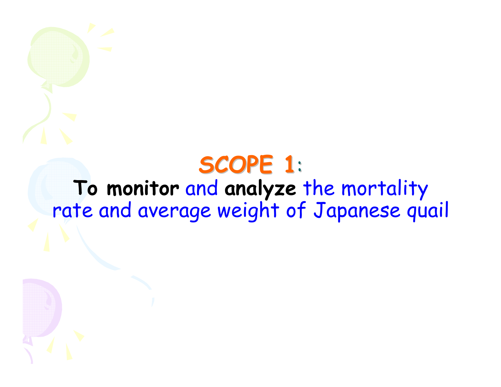### **SCOPE 1 SCOPE 1**: **To monitor** and **analyze** the mortality rate and average weight of Japanese quail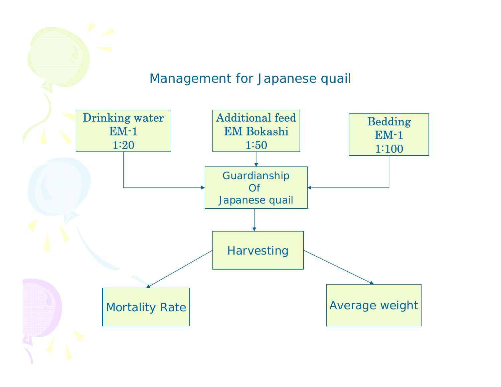#### Management for Japanese quail

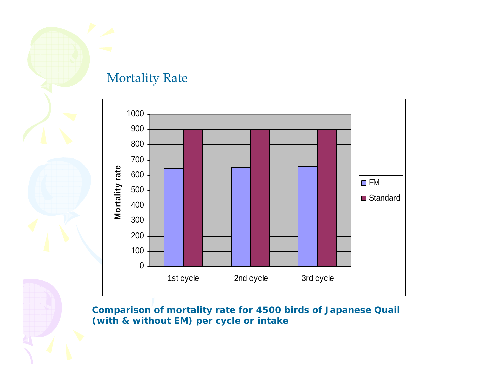

#### Mortality Rate



**Comparison of mortality rate for 4500 birds of Japanese Quail (with & without EM) per cycle or intake**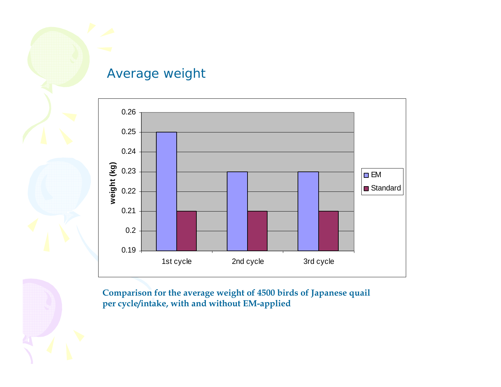

#### Average weight



**Comparison for the average weight of 4500 birds of Japanese quail per cycle/intake, with and without EM-applied**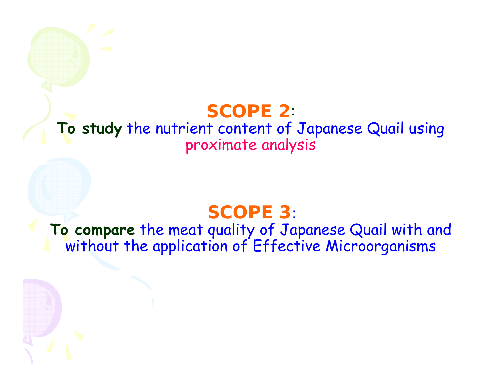### **SCOPE 2**:

### **To study** the nutrient content of Japanese Quail using proximate analysis

### **SCOPE 3**:

### **To compare** the meat quality of Japanese Quail with and without the application of Effective Microorganisms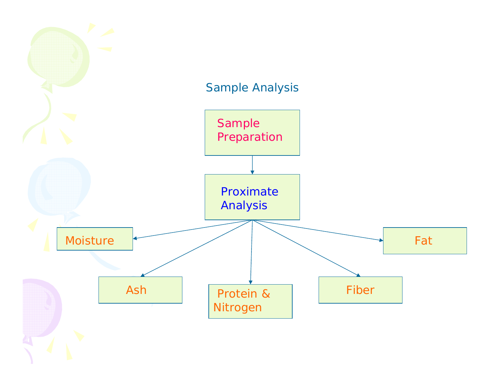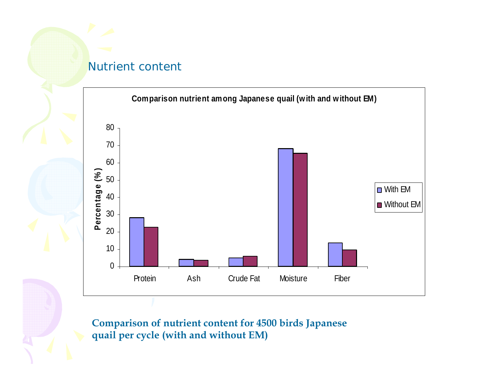#### Nutrient content



**Comparison of nutrient content for 4500 birds Japanese quail per cycle (with and without EM)**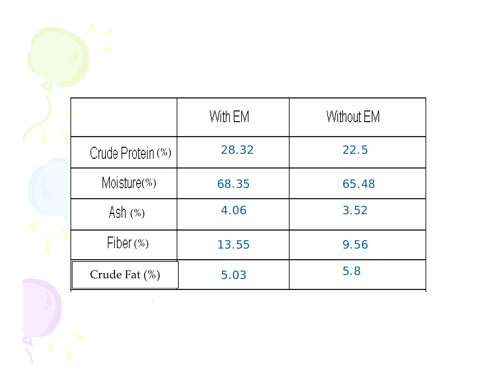|                   | With EM | Without EM |
|-------------------|---------|------------|
| Crude Protein (%) | 28.32   | 22.5       |
| Moisture(%)       | 68.35   | 65.48      |
| Ash (%)           | 4.06    | 3.52       |
| Fiber $(\%)$      | 13.55   | 9.56       |
| Crude Fat (%)     | 5.03    | 5.8        |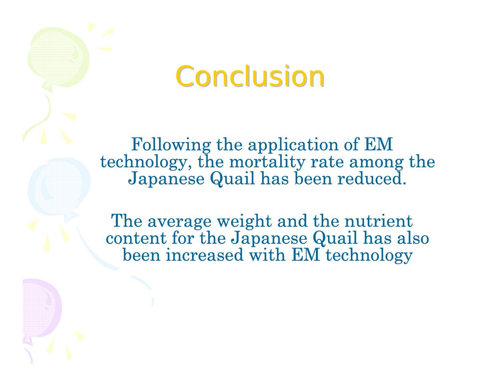## Conclusion

Following the application of EM technology, the mortality rate among the Japanese Quail has been reduced.

The average weight and the nutrient content for the Japanese Quail has also been increased with EM technology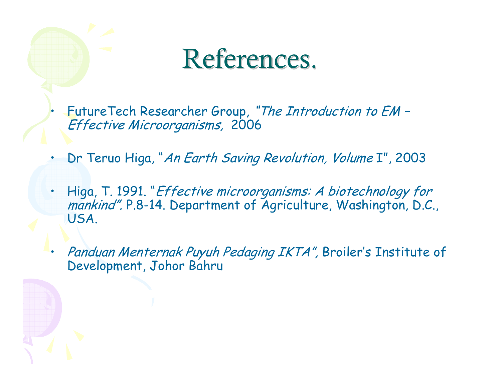## References.

 FutureTech Researcher Group, "The Introduction to EM – Effective Microorganisms, 2006

•

- •Dr Teruo Higa, "An Earth Saving Revolution, Volume I", 2003
- • Higa, T. 1991. "Effective microorganisms: A biotechnology for mankind". P.8-14. Department of Agriculture, Washington, D.C., USA.
- • Panduan Menternak Puyuh Pedaging IKTA", Broiler's Institute of Development, Johor Bahru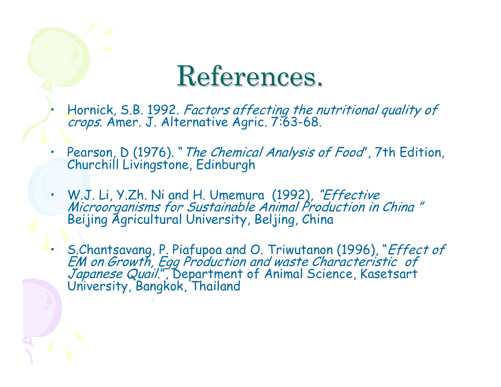## References.

- • Hornick, S.B. 1992. Factors affecting the nutritional quality of crops. Amer. J. Alternative Agric. 7:63-68.
- •Pearson, D (1976). "The Chemical Analysis of Food", 7th Edition, Churchill Livingstone, Edinburgh
- W.J. Li, Y.Zh. Ni and H. Umemura (1992), "Effective Microorganisms for Sustainable Animal Production in China " Beijing Agricultural University, Beljing, China
- S.Chantsavang, P. Piafupoa and O. Triwutanon (1996), "Effect of EM on Growth, Egg Production and waste Characteristic of Japanese Quail.", Department of Animal Science, Kasetsart University, Bangkok, Thailand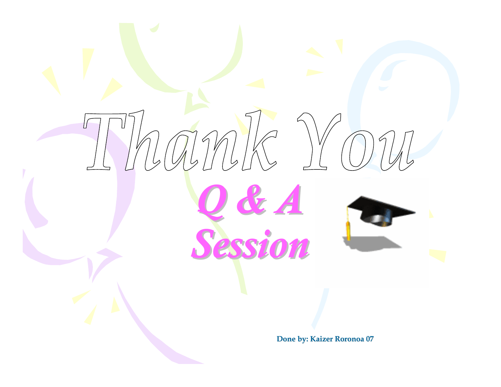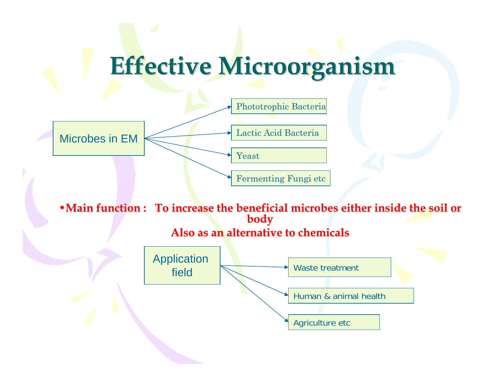## **Effective Microorganism Effective Microorganism**



• Main function : To increase the beneficial microbes either inside the soil or **body**

#### **Also as an alternative to chemicals Also as an alternative to chemicals**

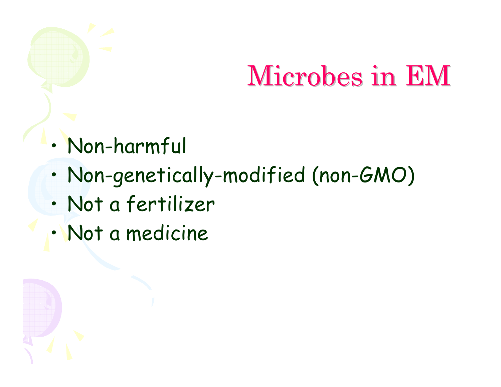# Microbes in EM Microbes in EM

- •Nonharmful
- •Non-genetically-modified (non-GMO)
- •Not a fertilizer
- •Not a medicine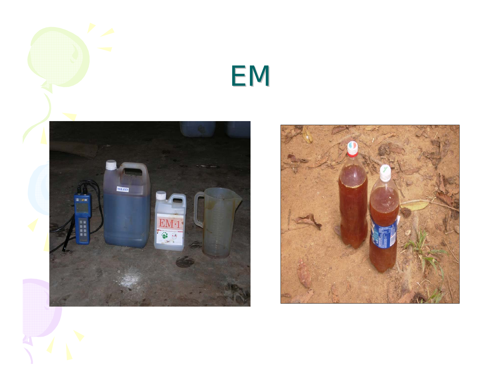## EM



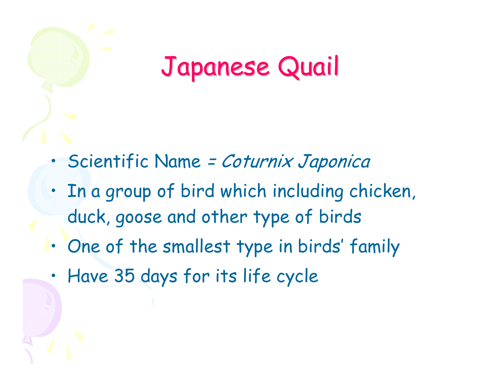## Japanese Quail Japanese Quail

- •• Scientific Name = Coturnix Japonica
- • In a group of bird which including chicken, duck, goose and other type of birds
- •One of the smallest type in birds' family
- •Have 35 days for its life cycle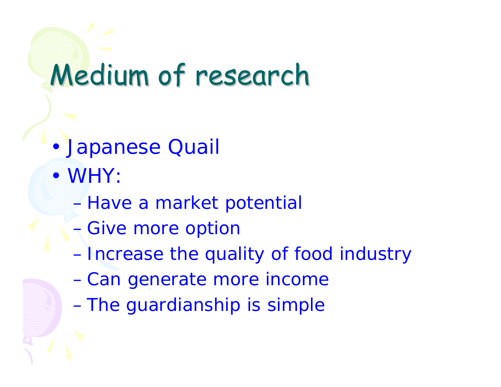# Medium of research

- •Japanese Quail
- *WHY:* 
	- $\mathcal{L}_{\mathcal{A}}$ *Have a market potential*
	- $\mathcal{L}_{\mathcal{A}}$ *Give more option*
	- *Increase the quality of food industry*
	- –*Can generate more income*
	- $\mathcal{L}_{\mathcal{A}}$ *The guardianship is simple*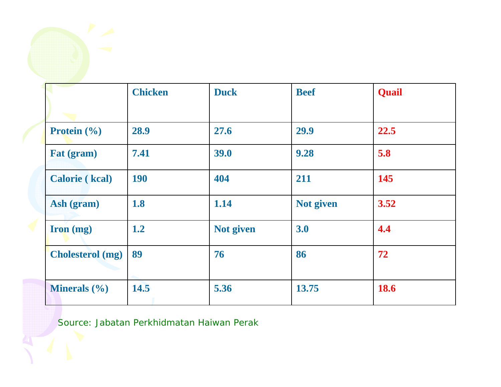|                         | <b>Chicken</b> | <b>Duck</b> | <b>Beef</b> | <b>Quail</b> |
|-------------------------|----------------|-------------|-------------|--------------|
| <b>Protein</b> $(\% )$  | 28.9           | 27.6        | 29.9        | 22.5         |
| Fat (gram)              | 7.41           | 39.0        | 9.28        | 5.8          |
| <b>Calorie</b> (kcal)   | <b>190</b>     | 404         | 211         | 145          |
| Ash (gram)              | 1.8            | 1.14        | Not given   | 3.52         |
| Iron (mg)               | 1.2            | Not given   | 3.0         | 4.4          |
| <b>Cholesterol</b> (mg) | 89             | 76          | 86          | 72           |
| <b>Minerals</b> $(\% )$ | 14.5           | 5.36        | 13.75       | <b>18.6</b>  |

Source: Jabatan Perkhidmatan Haiwan Perak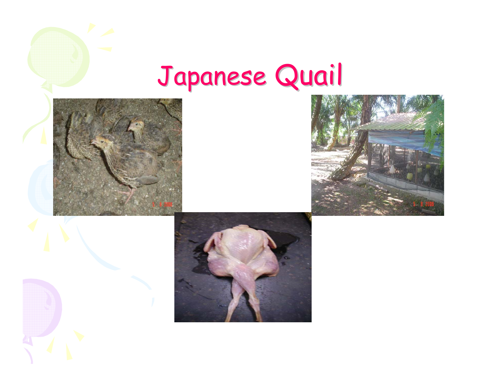# Japanese Quail





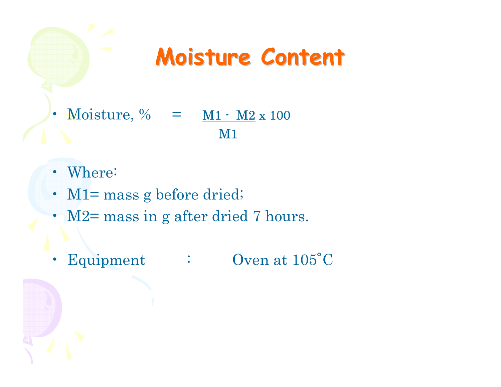## **Moisture Content Moisture Content**

- Moisture,  $\%$  =  $M1 M2 x 100$ </u> M1
- Where:
- M1= mass g before dried;
- M2= mass in g after dried 7 hours.
- Equipment Equipment : Oven at 105<sup>°</sup>C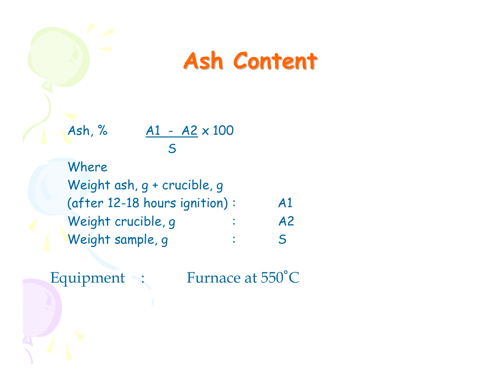## **Ash Content Ash Content**

Ash, % A1 - A2 x 100 S

Where Weight ash, g + crucible, g (after 12-18 hours ignition) : A1 Weight crucible, q : A2 Weight sample, g  $\hspace{1.6cm}$  : S

Equipment : Furnace at  $550^{\circ}$ C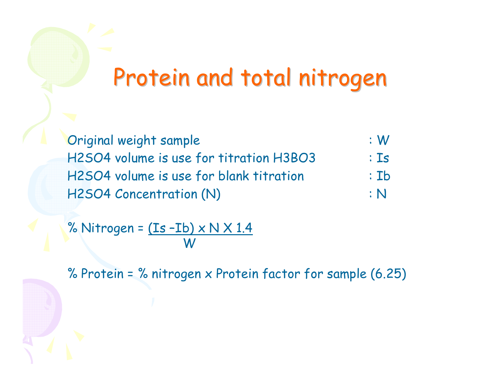## Protein and total nitrogen

Original weight sample : W H2SO4 volume is use for titration H3BO3 : Is H2SO4 volume is use for blank titration H2SO4 Concentration (N) The Research of the N

$$
\begin{array}{c}\n\cdot 15 \\
\cdot 15\n\end{array}
$$

% Nitrogen =  $(Is - Ib) \times N \times 1.4$ W

% Protein = % nitrogen x Protein factor for sample (6.25)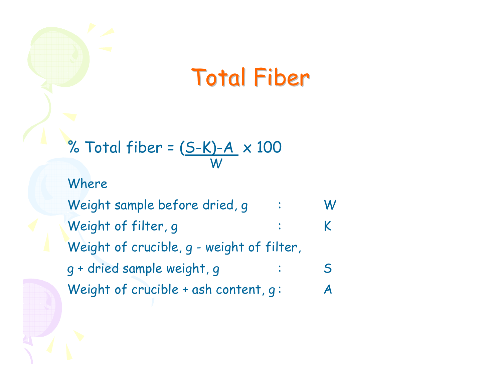## Total Fiber

% Total fiber = 
$$
\frac{(S-K)-A}{W} \times 100
$$

Where

Weight sample before dried, g : W Weight of filter, g  $\cdot$   $\cdot$  K Weight of crucible, g - weight of filter, g + dried sample weight, g : S Weight of crucible + ash content,  $q: A$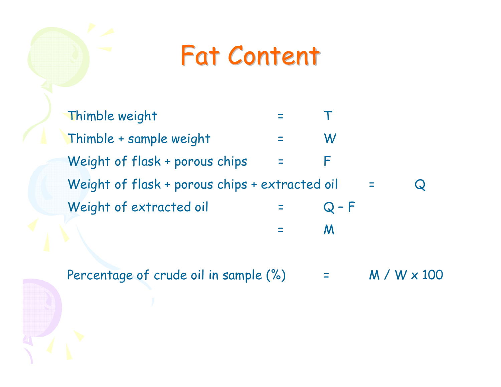## **Fat Content**

Thimble weight =TThimble + sample weight =WWeight of flask + porous chips =F Weight of flask + porous chips + extracted oil  $=$  $\bf Q$ Weight of extracted oil =Q – F

Percentage of crude oil in sample (%) =M / W x 100

=

M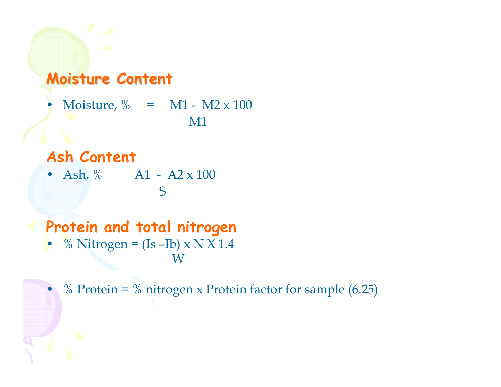### **Moisture Content Moisture Content**

$$
ext{Moisture, %} = \frac{M1 - M2 \times 100}{M1}
$$

#### **Ash Content**

•

• Ash,  $\%$  A1 - A2 x 100 S

#### **Protein and total nitrogen** •% Nitrogen =  $(Is - Ib) \times N X 1.4$

W

% Protein = % nitrogen x Protein factor for sample  $(6.25)$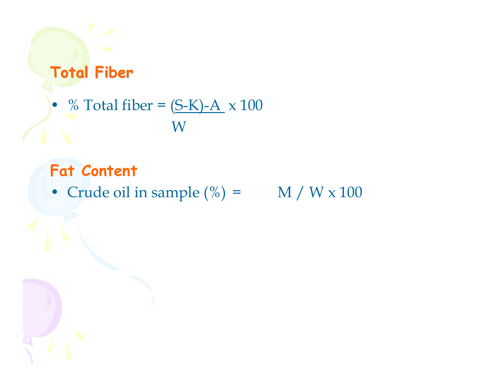### **Total Fiber Total Fiber**

### •  $\%$  Total fiber =  $(S-K)-A \times 100$  ${\rm W}$

### **Fat Content**

• Crude oil in sample  $(\%)$  = M / W x 100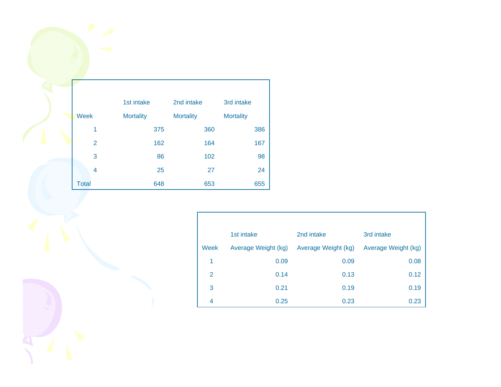| 1st intake     |                  | 2nd intake       | 3rd intake       |  |
|----------------|------------------|------------------|------------------|--|
| <b>Week</b>    | <b>Mortality</b> | <b>Mortality</b> | <b>Mortality</b> |  |
| 1              | 375              | 360              | 386              |  |
| $\overline{2}$ | 162              | 164              | 167              |  |
| 3              | 86               | 102              | 98               |  |
| 4              | 25               | 27               | 24               |  |
| <b>Total</b>   | 648              | 653              | 655              |  |

|      | 1st intake          | 2nd intake          | 3rd intake          |
|------|---------------------|---------------------|---------------------|
| Week | Average Weight (kg) | Average Weight (kg) | Average Weight (kg) |
| 1    | 0.09                | 0.09                | 0.08                |
| 2    | 0.14                | 0.13                | 0.12                |
| 3    | 0.21                | 0.19                | 0.19                |
| 4    | 0.25                | 0.23                | 0.23                |